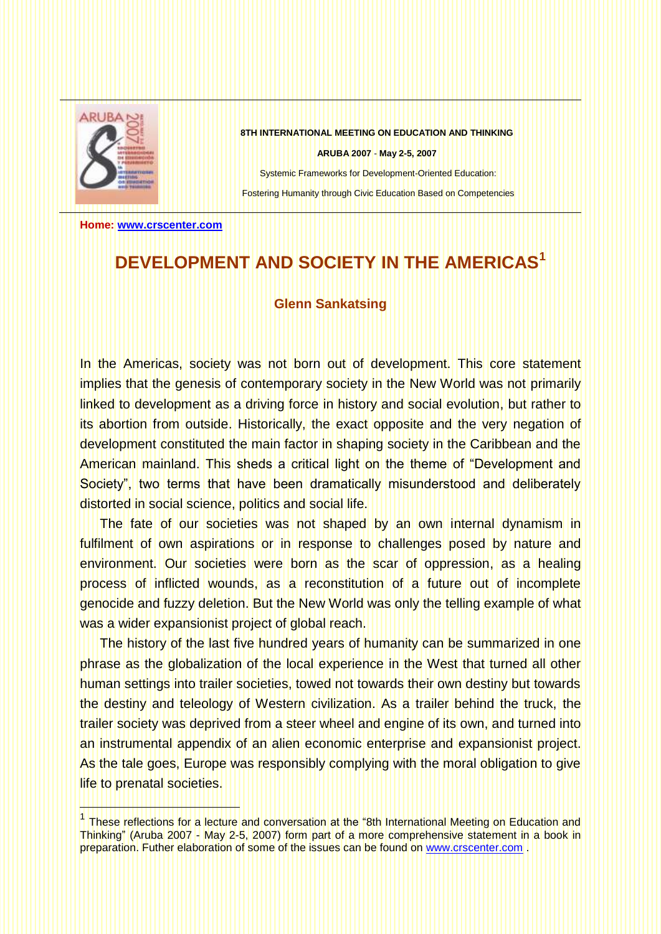

ł

**8TH INTERNATIONAL MEETING ON EDUCATION AND THINKING**

**ARUBA 2007** - **May 2-5, 2007**

Systemic Frameworks for Development-Oriented Education: Fostering Humanity through Civic Education Based on Competencies

**Home: [www.crscenter.com](http://www.crscenter.com/)**

## **DEVELOPMENT AND SOCIETY IN THE AMERICAS<sup>1</sup>**

## **Glenn Sankatsing**

In the Americas, society was not born out of development. This core statement implies that the genesis of contemporary society in the New World was not primarily linked to development as a driving force in history and social evolution, but rather to its abortion from outside. Historically, the exact opposite and the very negation of development constituted the main factor in shaping society in the Caribbean and the American mainland. This sheds a critical light on the theme of "Development and Society", two terms that have been dramatically misunderstood and deliberately distorted in social science, politics and social life.

The fate of our societies was not shaped by an own internal dynamism in fulfilment of own aspirations or in response to challenges posed by nature and environment. Our societies were born as the scar of oppression, as a healing process of inflicted wounds, as a reconstitution of a future out of incomplete genocide and fuzzy deletion. But the New World was only the telling example of what was a wider expansionist project of global reach.

The history of the last five hundred years of humanity can be summarized in one phrase as the globalization of the local experience in the West that turned all other human settings into trailer societies, towed not towards their own destiny but towards the destiny and teleology of Western civilization. As a trailer behind the truck, the trailer society was deprived from a steer wheel and engine of its own, and turned into an instrumental appendix of an alien economic enterprise and expansionist project. As the tale goes, Europe was responsibly complying with the moral obligation to give life to prenatal societies.

<sup>&</sup>lt;sup>1</sup> These reflections for a lecture and conversation at the "8th International Meeting on Education and Thinking" (Aruba 2007 - May 2-5, 2007) form part of a more comprehensive statement in a book in preparation. Futher elaboration of some of the issues can be found on [www.crscenter.com](http://www.crscenter.com/) .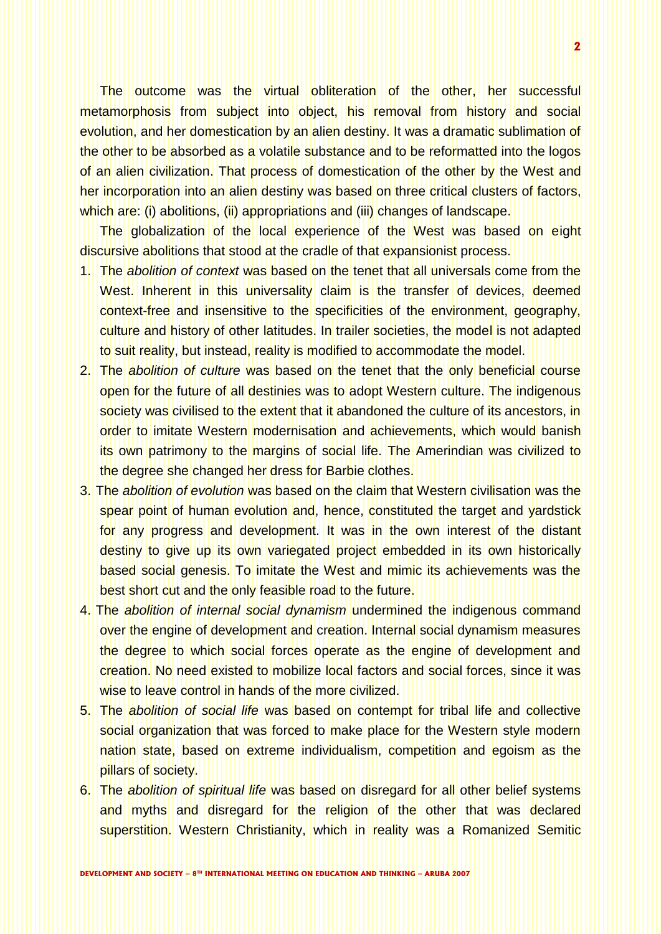The outcome was the virtual obliteration of the other, her successful metamorphosis from subject into object, his removal from history and social evolution, and her domestication by an alien destiny. It was a dramatic sublimation of the other to be absorbed as a volatile substance and to be reformatted into the logos of an alien civilization. That process of domestication of the other by the West and her incorporation into an alien destiny was based on three critical clusters of factors, which are: (i) abolitions, (ii) appropriations and (iii) changes of landscape.

The globalization of the local experience of the West was based on eight discursive abolitions that stood at the cradle of that expansionist process.

- 1. The *abolition of context* was based on the tenet that all universals come from the West. Inherent in this universality claim is the transfer of devices, deemed context-free and insensitive to the specificities of the environment, geography, culture and history of other latitudes. In trailer societies, the model is not adapted to suit reality, but instead, reality is modified to accommodate the model.
- 2. The *abolition of culture* was based on the tenet that the only beneficial course open for the future of all destinies was to adopt Western culture. The indigenous society was civilised to the extent that it abandoned the culture of its ancestors, in order to imitate Western modernisation and achievements, which would banish its own patrimony to the margins of social life. The Amerindian was civilized to the degree she changed her dress for Barbie clothes.
- 3. The *abolition of evolution* was based on the claim that Western civilisation was the spear point of human evolution and, hence, constituted the target and yardstick for any progress and development. It was in the own interest of the distant destiny to give up its own variegated project embedded in its own historically based social genesis. To imitate the West and mimic its achievements was the best short cut and the only feasible road to the future.
- 4. The *abolition of internal social dynamism* undermined the indigenous command over the engine of development and creation. Internal social dynamism measures the degree to which social forces operate as the engine of development and creation. No need existed to mobilize local factors and social forces, since it was wise to leave control in hands of the more civilized.
- 5. The *abolition of social life* was based on contempt for tribal life and collective social organization that was forced to make place for the Western style modern nation state, based on extreme individualism, competition and egoism as the pillars of society.
- 6. The *abolition of spiritual life* was based on disregard for all other belief systems and myths and disregard for the religion of the other that was declared superstition. Western Christianity, which in reality was a Romanized Semitic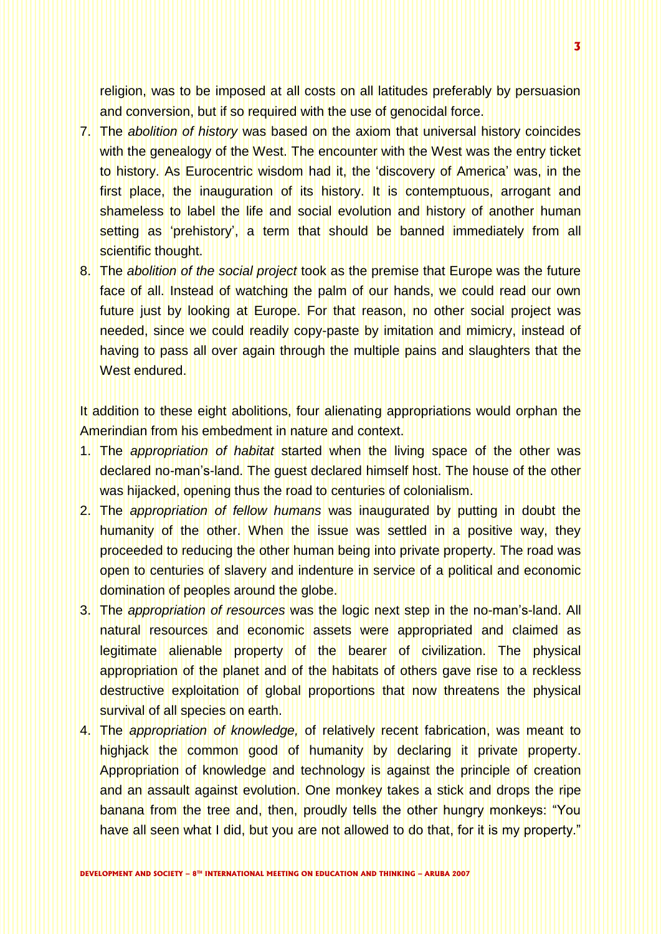religion, was to be imposed at all costs on all latitudes preferably by persuasion and conversion, but if so required with the use of genocidal force.

- 7. The *abolition of history* was based on the axiom that universal history coincides with the genealogy of the West. The encounter with the West was the entry ticket to history. As Eurocentric wisdom had it, the "discovery of America" was, in the first place, the inauguration of its history. It is contemptuous, arrogant and shameless to label the life and social evolution and history of another human setting as 'prehistory', a term that should be banned immediately from all scientific thought.
- 8. The *abolition of the social project* took as the premise that Europe was the future face of all. Instead of watching the palm of our hands, we could read our own future just by looking at Europe. For that reason, no other social project was needed, since we could readily copy-paste by imitation and mimicry, instead of having to pass all over again through the multiple pains and slaughters that the West endured.

It addition to these eight abolitions, four alienating appropriations would orphan the Amerindian from his embedment in nature and context.

- 1. The *appropriation of habitat* started when the living space of the other was declared no-man"s-land. The guest declared himself host. The house of the other was hijacked, opening thus the road to centuries of colonialism.
- 2. The *appropriation of fellow humans* was inaugurated by putting in doubt the humanity of the other. When the issue was settled in a positive way, they proceeded to reducing the other human being into private property. The road was open to centuries of slavery and indenture in service of a political and economic domination of peoples around the globe.
- 3. The *appropriation of resources* was the logic next step in the no-man"s-land. All natural resources and economic assets were appropriated and claimed as legitimate alienable property of the bearer of civilization. The physical appropriation of the planet and of the habitats of others gave rise to a reckless destructive exploitation of global proportions that now threatens the physical survival of all species on earth.
- 4. The *appropriation of knowledge,* of relatively recent fabrication, was meant to highjack the common good of humanity by declaring it private property. Appropriation of knowledge and technology is against the principle of creation and an assault against evolution. One monkey takes a stick and drops the ripe banana from the tree and, then, proudly tells the other hungry monkeys: "You have all seen what I did, but you are not allowed to do that, for it is my property."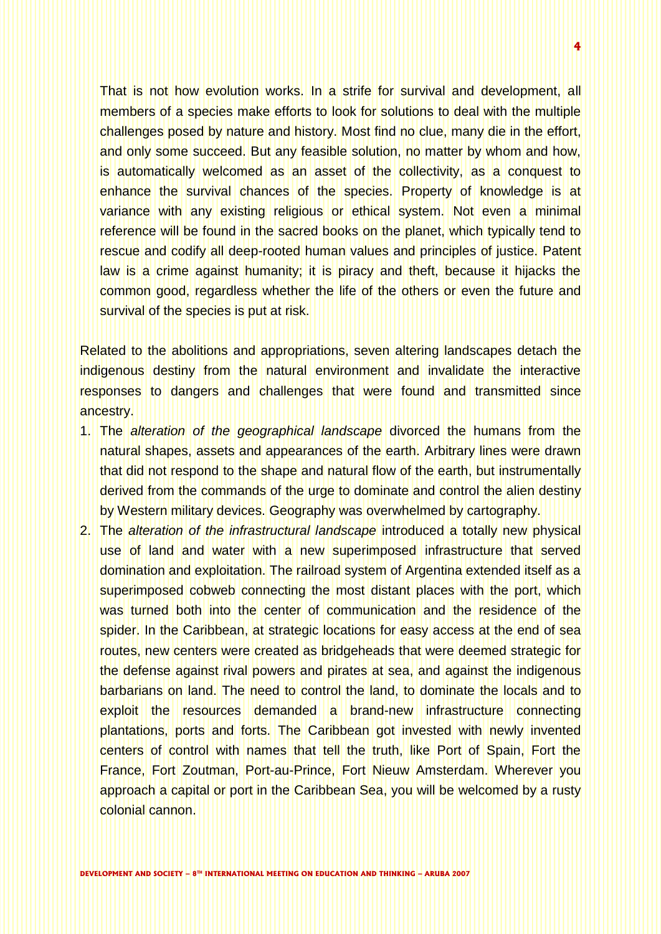That is not how evolution works. In a strife for survival and development, all members of a species make efforts to look for solutions to deal with the multiple challenges posed by nature and history. Most find no clue, many die in the effort, and only some succeed. But any feasible solution, no matter by whom and how, is automatically welcomed as an asset of the collectivity, as a conquest to enhance the survival chances of the species. Property of knowledge is at variance with any existing religious or ethical system. Not even a minimal reference will be found in the sacred books on the planet, which typically tend to rescue and codify all deep-rooted human values and principles of justice. Patent law is a crime against humanity; it is piracy and theft, because it hijacks the common good, regardless whether the life of the others or even the future and survival of the species is put at risk.

Related to the abolitions and appropriations, seven altering landscapes detach the indigenous destiny from the natural environment and invalidate the interactive responses to dangers and challenges that were found and transmitted since ancestry.

- 1. The *alteration of the geographical landscape* divorced the humans from the natural shapes, assets and appearances of the earth. Arbitrary lines were drawn that did not respond to the shape and natural flow of the earth, but instrumentally derived from the commands of the urge to dominate and control the alien destiny by Western military devices. Geography was overwhelmed by cartography.
- 2. The *alteration of the infrastructural landscape* introduced a totally new physical use of land and water with a new superimposed infrastructure that served domination and exploitation. The railroad system of Argentina extended itself as a superimposed cobweb connecting the most distant places with the port, which was turned both into the center of communication and the residence of the spider. In the Caribbean, at strategic locations for easy access at the end of sea routes, new centers were created as bridgeheads that were deemed strategic for the defense against rival powers and pirates at sea, and against the indigenous barbarians on land. The need to control the land, to dominate the locals and to exploit the resources demanded a brand-new infrastructure connecting plantations, ports and forts. The Caribbean got invested with newly invented centers of control with names that tell the truth, like Port of Spain, Fort the France, Fort Zoutman, Port-au-Prince, Fort Nieuw Amsterdam. Wherever you approach a capital or port in the Caribbean Sea, you will be welcomed by a rusty colonial cannon.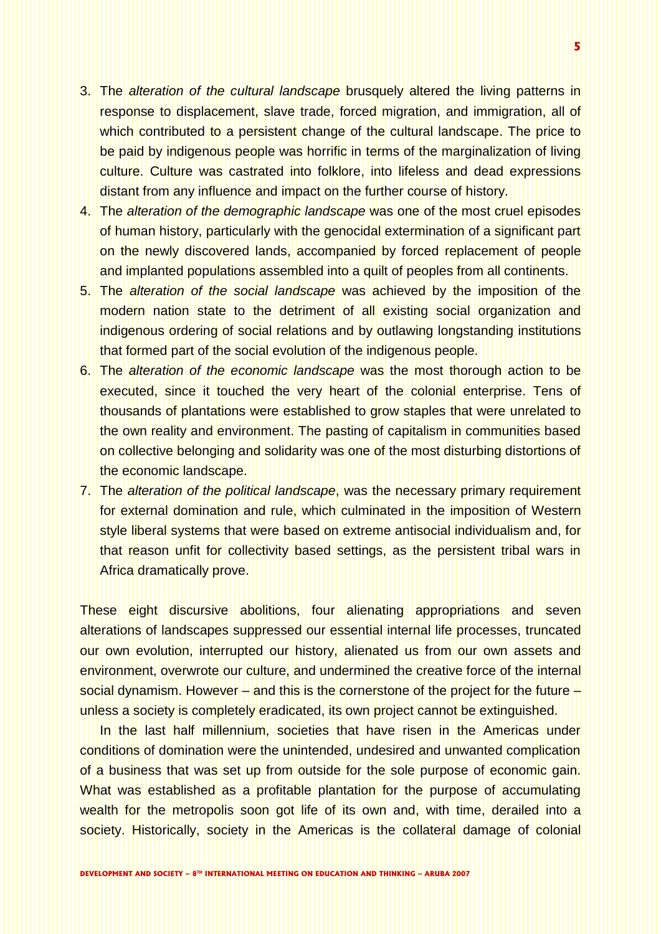- 3. The *alteration of the cultural landscape* brusquely altered the living patterns in response to displacement, slave trade, forced migration, and immigration, all of which contributed to a persistent change of the cultural landscape. The price to be paid by indigenous people was horrific in terms of the marginalization of living culture. Culture was castrated into folklore, into lifeless and dead expressions distant from any influence and impact on the further course of history.
- 4. The *alteration of the demographic landscape* was one of the most cruel episodes of human history, particularly with the genocidal extermination of a significant part on the newly discovered lands, accompanied by forced replacement of people and implanted populations assembled into a quilt of peoples from all continents.
- 5. The *alteration of the social landscape* was achieved by the imposition of the modern nation state to the detriment of all existing social organization and indigenous ordering of social relations and by outlawing longstanding institutions that formed part of the social evolution of the indigenous people.
- 6. The *alteration of the economic landscape* was the most thorough action to be executed, since it touched the very heart of the colonial enterprise. Tens of thousands of plantations were established to grow staples that were unrelated to the own reality and environment. The pasting of capitalism in communities based on collective belonging and solidarity was one of the most disturbing distortions of the economic landscape.
- 7. The *alteration of the political landscape*, was the necessary primary requirement for external domination and rule, which culminated in the imposition of Western style liberal systems that were based on extreme antisocial individualism and, for that reason unfit for collectivity based settings, as the persistent tribal wars in Africa dramatically prove.

These eight discursive abolitions, four alienating appropriations and seven alterations of landscapes suppressed our essential internal life processes, truncated our own evolution, interrupted our history, alienated us from our own assets and environment, overwrote our culture, and undermined the creative force of the internal social dynamism. However – and this is the cornerstone of the project for the future – unless a society is completely eradicated, its own project cannot be extinguished.

In the last half millennium, societies that have risen in the Americas under conditions of domination were the unintended, undesired and unwanted complication of a business that was set up from outside for the sole purpose of economic gain. What was established as a profitable plantation for the purpose of accumulating wealth for the metropolis soon got life of its own and, with time, derailed into a society. Historically, society in the Americas is the collateral damage of colonial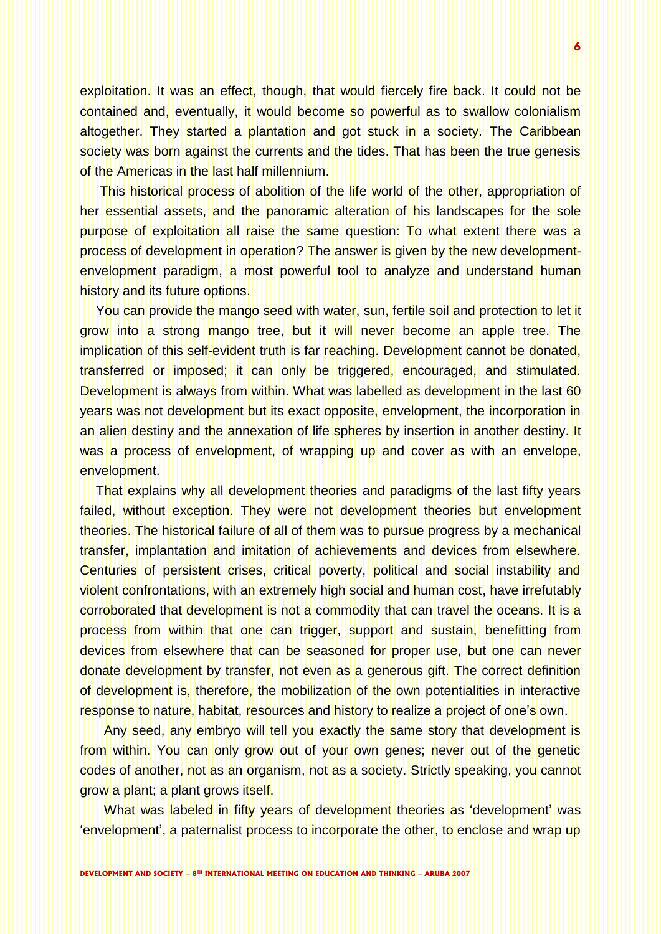exploitation. It was an effect, though, that would fiercely fire back. It could not be contained and, eventually, it would become so powerful as to swallow colonialism altogether. They started a plantation and got stuck in a society. The Caribbean society was born against the currents and the tides. That has been the true genesis of the Americas in the last half millennium.

This historical process of abolition of the life world of the other, appropriation of her essential assets, and the panoramic alteration of his landscapes for the sole purpose of exploitation all raise the same question: To what extent there was a process of development in operation? The answer is given by the new developmentenvelopment paradigm, a most powerful tool to analyze and understand human history and its future options.

You can provide the mango seed with water, sun, fertile soil and protection to let it grow into a strong mango tree, but it will never become an apple tree. The implication of this self-evident truth is far reaching. Development cannot be donated, transferred or imposed; it can only be triggered, encouraged, and stimulated. Development is always from within. What was labelled as development in the last 60 years was not development but its exact opposite, envelopment, the incorporation in an alien destiny and the annexation of life spheres by insertion in another destiny. It was a process of envelopment, of wrapping up and cover as with an envelope, envelopment.

That explains why all development theories and paradigms of the last fifty years failed, without exception. They were not development theories but envelopment theories. The historical failure of all of them was to pursue progress by a mechanical transfer, implantation and imitation of achievements and devices from elsewhere. Centuries of persistent crises, critical poverty, political and social instability and violent confrontations, with an extremely high social and human cost, have irrefutably corroborated that development is not a commodity that can travel the oceans. It is a process from within that one can trigger, support and sustain, benefitting from devices from elsewhere that can be seasoned for proper use, but one can never donate development by transfer, not even as a generous gift. The correct definition of development is, therefore, the mobilization of the own potentialities in interactive response to nature, habitat, resources and history to realize a project of one"s own.

Any seed, any embryo will tell you exactly the same story that development is from within. You can only grow out of your own genes; never out of the genetic codes of another, not as an organism, not as a society. Strictly speaking, you cannot grow a plant; a plant grows itself.

What was labeled in fifty years of development theories as 'development' was "envelopment", a paternalist process to incorporate the other, to enclose and wrap up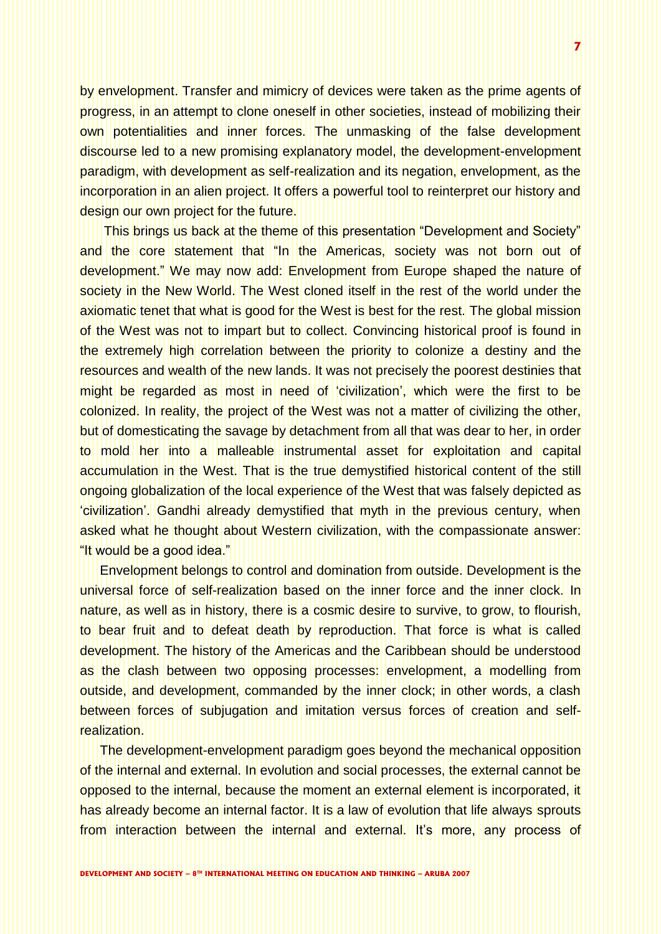by envelopment. Transfer and mimicry of devices were taken as the prime agents of progress, in an attempt to clone oneself in other societies, instead of mobilizing their own potentialities and inner forces. The unmasking of the false development discourse led to a new promising explanatory model, the development-envelopment paradigm, with development as self-realization and its negation, envelopment, as the incorporation in an alien project. It offers a powerful tool to reinterpret our history and design our own project for the future.

This brings us back at the theme of this presentation "Development and Society" and the core statement that "In the Americas, society was not born out of development." We may now add: Envelopment from Europe shaped the nature of society in the New World. The West cloned itself in the rest of the world under the axiomatic tenet that what is good for the West is best for the rest. The global mission of the West was not to impart but to collect. Convincing historical proof is found in the extremely high correlation between the priority to colonize a destiny and the resources and wealth of the new lands. It was not precisely the poorest destinies that might be regarded as most in need of "civilization", which were the first to be colonized. In reality, the project of the West was not a matter of civilizing the other, but of domesticating the savage by detachment from all that was dear to her, in order to mold her into a malleable instrumental asset for exploitation and capital accumulation in the West. That is the true demystified historical content of the still ongoing globalization of the local experience of the West that was falsely depicted as "civilization". Gandhi already demystified that myth in the previous century, when asked what he thought about Western civilization, with the compassionate answer: "It would be a good idea."

Envelopment belongs to control and domination from outside. Development is the universal force of self-realization based on the inner force and the inner clock. In nature, as well as in history, there is a cosmic desire to survive, to grow, to flourish, to bear fruit and to defeat death by reproduction. That force is what is called development. The history of the Americas and the Caribbean should be understood as the clash between two opposing processes: envelopment, a modelling from outside, and development, commanded by the inner clock; in other words, a clash between forces of subjugation and imitation versus forces of creation and selfrealization.

The development-envelopment paradigm goes beyond the mechanical opposition of the internal and external. In evolution and social processes, the external cannot be opposed to the internal, because the moment an external element is incorporated, it has already become an internal factor. It is a law of evolution that life always sprouts from interaction between the internal and external. It"s more, any process of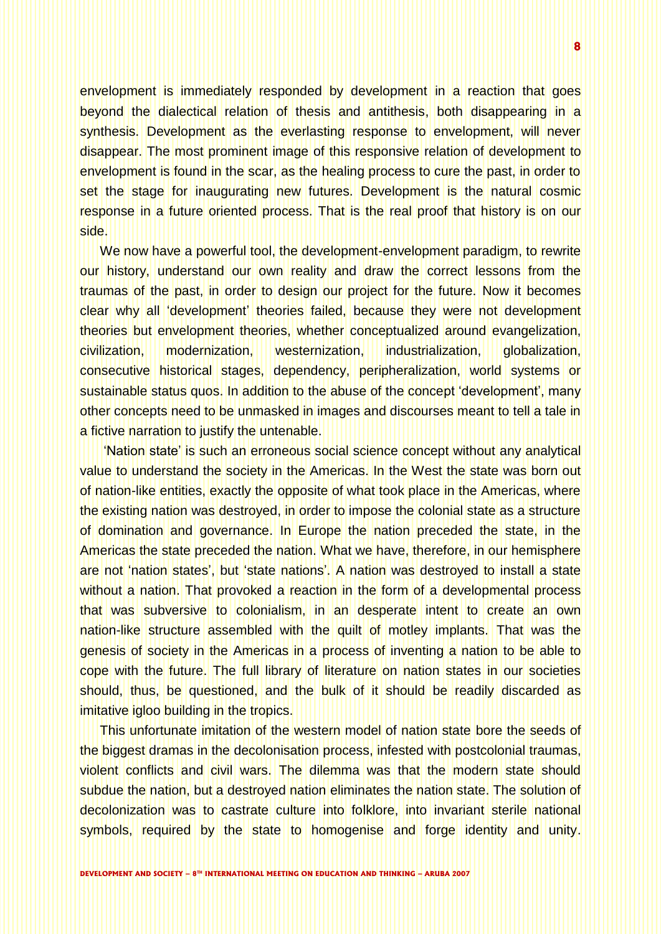envelopment is immediately responded by development in a reaction that goes beyond the dialectical relation of thesis and antithesis, both disappearing in a synthesis. Development as the everlasting response to envelopment, will never disappear. The most prominent image of this responsive relation of development to envelopment is found in the scar, as the healing process to cure the past, in order to set the stage for inaugurating new futures. Development is the natural cosmic response in a future oriented process. That is the real proof that history is on our side.

We now have a powerful tool, the development-envelopment paradigm, to rewrite our history, understand our own reality and draw the correct lessons from the traumas of the past, in order to design our project for the future. Now it becomes clear why all "development" theories failed, because they were not development theories but envelopment theories, whether conceptualized around evangelization, civilization, modernization, westernization, industrialization, globalization, consecutive historical stages, dependency, peripheralization, world systems or sustainable status quos. In addition to the abuse of the concept "development", many other concepts need to be unmasked in images and discourses meant to tell a tale in a fictive narration to justify the untenable.

'Nation state' is such an erroneous social science concept without any analytical value to understand the society in the Americas. In the West the state was born out of nation-like entities, exactly the opposite of what took place in the Americas, where the existing nation was destroyed, in order to impose the colonial state as a structure of domination and governance. In Europe the nation preceded the state, in the Americas the state preceded the nation. What we have, therefore, in our hemisphere are not 'nation states', but 'state nations'. A nation was destroyed to install a state without a nation. That provoked a reaction in the form of a developmental process that was subversive to colonialism, in an desperate intent to create an own nation-like structure assembled with the quilt of motley implants. That was the genesis of society in the Americas in a process of inventing a nation to be able to cope with the future. The full library of literature on nation states in our societies should, thus, be questioned, and the bulk of it should be readily discarded as imitative igloo building in the tropics.

This unfortunate imitation of the western model of nation state bore the seeds of the biggest dramas in the decolonisation process, infested with postcolonial traumas, violent conflicts and civil wars. The dilemma was that the modern state should subdue the nation, but a destroyed nation eliminates the nation state. The solution of decolonization was to castrate culture into folklore, into invariant sterile national symbols, required by the state to homogenise and forge identity and unity.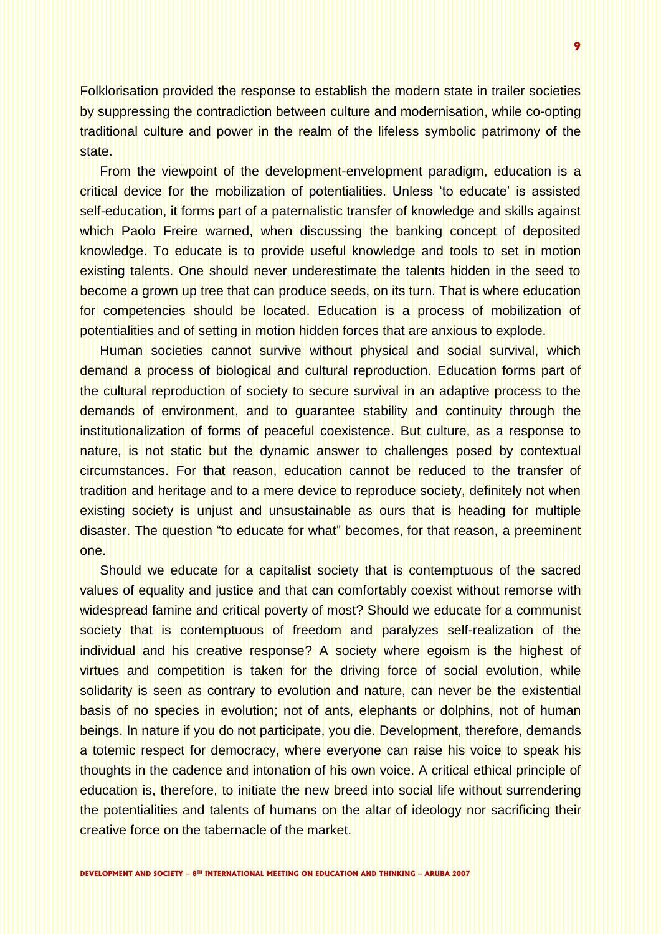Folklorisation provided the response to establish the modern state in trailer societies by suppressing the contradiction between culture and modernisation, while co-opting traditional culture and power in the realm of the lifeless symbolic patrimony of the state.

From the viewpoint of the development-envelopment paradigm, education is a critical device for the mobilization of potentialities. Unless "to educate" is assisted self-education, it forms part of a paternalistic transfer of knowledge and skills against which Paolo Freire warned, when discussing the banking concept of deposited knowledge. To educate is to provide useful knowledge and tools to set in motion existing talents. One should never underestimate the talents hidden in the seed to become a grown up tree that can produce seeds, on its turn. That is where education for competencies should be located. Education is a process of mobilization of potentialities and of setting in motion hidden forces that are anxious to explode.

Human societies cannot survive without physical and social survival, which demand a process of biological and cultural reproduction. Education forms part of the cultural reproduction of society to secure survival in an adaptive process to the demands of environment, and to guarantee stability and continuity through the institutionalization of forms of peaceful coexistence. But culture, as a response to nature, is not static but the dynamic answer to challenges posed by contextual circumstances. For that reason, education cannot be reduced to the transfer of tradition and heritage and to a mere device to reproduce society, definitely not when existing society is unjust and unsustainable as ours that is heading for multiple disaster. The question "to educate for what" becomes, for that reason, a preeminent one.

Should we educate for a capitalist society that is contemptuous of the sacred values of equality and justice and that can comfortably coexist without remorse with widespread famine and critical poverty of most? Should we educate for a communist society that is contemptuous of freedom and paralyzes self-realization of the individual and his creative response? A society where egoism is the highest of virtues and competition is taken for the driving force of social evolution, while solidarity is seen as contrary to evolution and nature, can never be the existential basis of no species in evolution; not of ants, elephants or dolphins, not of human beings. In nature if you do not participate, you die. Development, therefore, demands a totemic respect for democracy, where everyone can raise his voice to speak his thoughts in the cadence and intonation of his own voice. A critical ethical principle of education is, therefore, to initiate the new breed into social life without surrendering the potentialities and talents of humans on the altar of ideology nor sacrificing their creative force on the tabernacle of the market.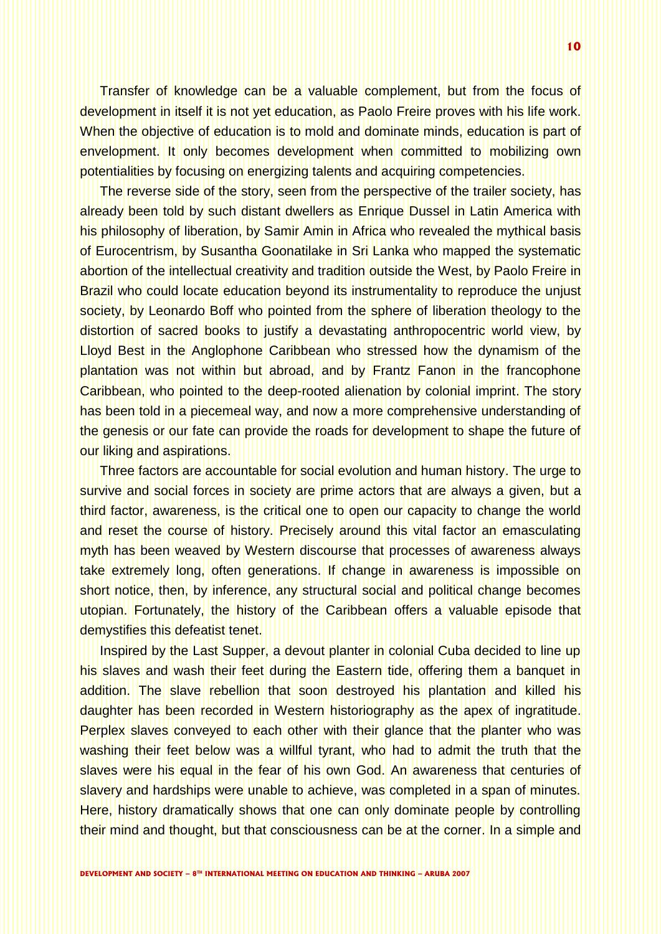Transfer of knowledge can be a valuable complement, but from the focus of development in itself it is not yet education, as Paolo Freire proves with his life work. When the objective of education is to mold and dominate minds, education is part of envelopment. It only becomes development when committed to mobilizing own potentialities by focusing on energizing talents and acquiring competencies.

The reverse side of the story, seen from the perspective of the trailer society, has already been told by such distant dwellers as Enrique Dussel in Latin America with his philosophy of liberation, by Samir Amin in Africa who revealed the mythical basis of Eurocentrism, by Susantha Goonatilake in Sri Lanka who mapped the systematic abortion of the intellectual creativity and tradition outside the West, by Paolo Freire in Brazil who could locate education beyond its instrumentality to reproduce the unjust society, by Leonardo Boff who pointed from the sphere of liberation theology to the distortion of sacred books to justify a devastating anthropocentric world view, by Lloyd Best in the Anglophone Caribbean who stressed how the dynamism of the plantation was not within but abroad, and by Frantz Fanon in the francophone Caribbean, who pointed to the deep-rooted alienation by colonial imprint. The story has been told in a piecemeal way, and now a more comprehensive understanding of the genesis or our fate can provide the roads for development to shape the future of our liking and aspirations.

Three factors are accountable for social evolution and human history. The urge to survive and social forces in society are prime actors that are always a given, but a third factor, awareness, is the critical one to open our capacity to change the world and reset the course of history. Precisely around this vital factor an emasculating myth has been weaved by Western discourse that processes of awareness always take extremely long, often generations. If change in awareness is impossible on short notice, then, by inference, any structural social and political change becomes utopian. Fortunately, the history of the Caribbean offers a valuable episode that demystifies this defeatist tenet.

Inspired by the Last Supper, a devout planter in colonial Cuba decided to line up his slaves and wash their feet during the Eastern tide, offering them a banquet in addition. The slave rebellion that soon destroyed his plantation and killed his daughter has been recorded in Western historiography as the apex of ingratitude. Perplex slaves conveyed to each other with their glance that the planter who was washing their feet below was a willful tyrant, who had to admit the truth that the slaves were his equal in the fear of his own God. An awareness that centuries of slavery and hardships were unable to achieve, was completed in a span of minutes. Here, history dramatically shows that one can only dominate people by controlling their mind and thought, but that consciousness can be at the corner. In a simple and